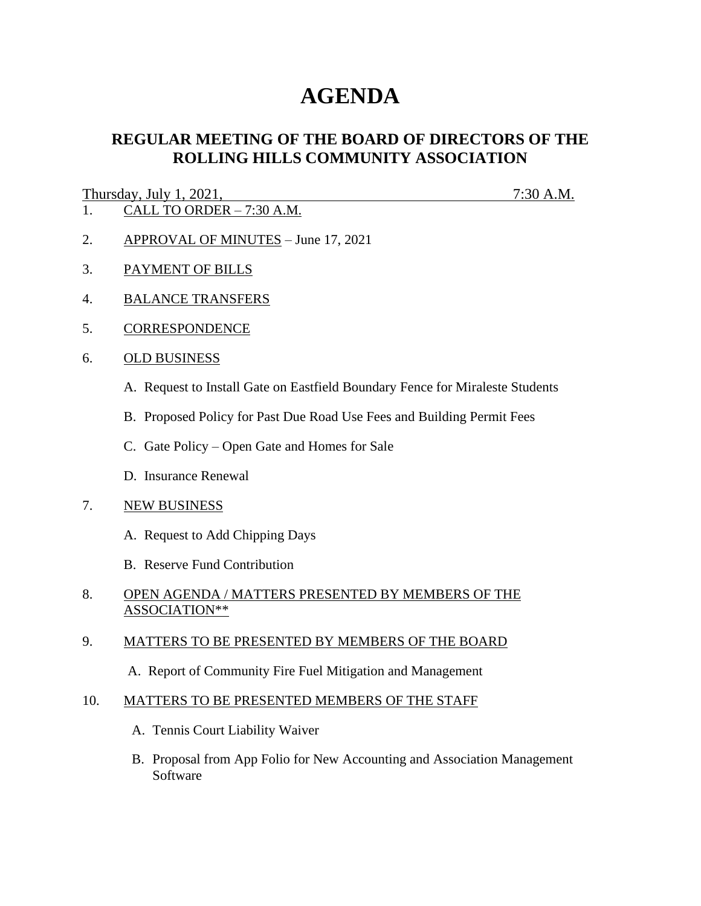# **AGENDA**

## **REGULAR MEETING OF THE BOARD OF DIRECTORS OF THE ROLLING HILLS COMMUNITY ASSOCIATION**

#### Thursday, July 1, 2021, 7:30 A.M.

- 1. CALL TO ORDER 7:30 A.M.
- 2. APPROVAL OF MINUTES June 17, 2021
- 3. PAYMENT OF BILLS
- 4. BALANCE TRANSFERS
- 5. CORRESPONDENCE
- 6. OLD BUSINESS
	- A. Request to Install Gate on Eastfield Boundary Fence for Miraleste Students
	- B. Proposed Policy for Past Due Road Use Fees and Building Permit Fees
	- C. Gate Policy Open Gate and Homes for Sale
	- D. Insurance Renewal

#### 7. NEW BUSINESS

- A. Request to Add Chipping Days
- B. Reserve Fund Contribution
- 8. OPEN AGENDA / MATTERS PRESENTED BY MEMBERS OF THE ASSOCIATION\*\*

#### 9. MATTERS TO BE PRESENTED BY MEMBERS OF THE BOARD

A. Report of Community Fire Fuel Mitigation and Management

#### 10. MATTERS TO BE PRESENTED MEMBERS OF THE STAFF

- A. Tennis Court Liability Waiver
- B. Proposal from App Folio for New Accounting and Association Management Software